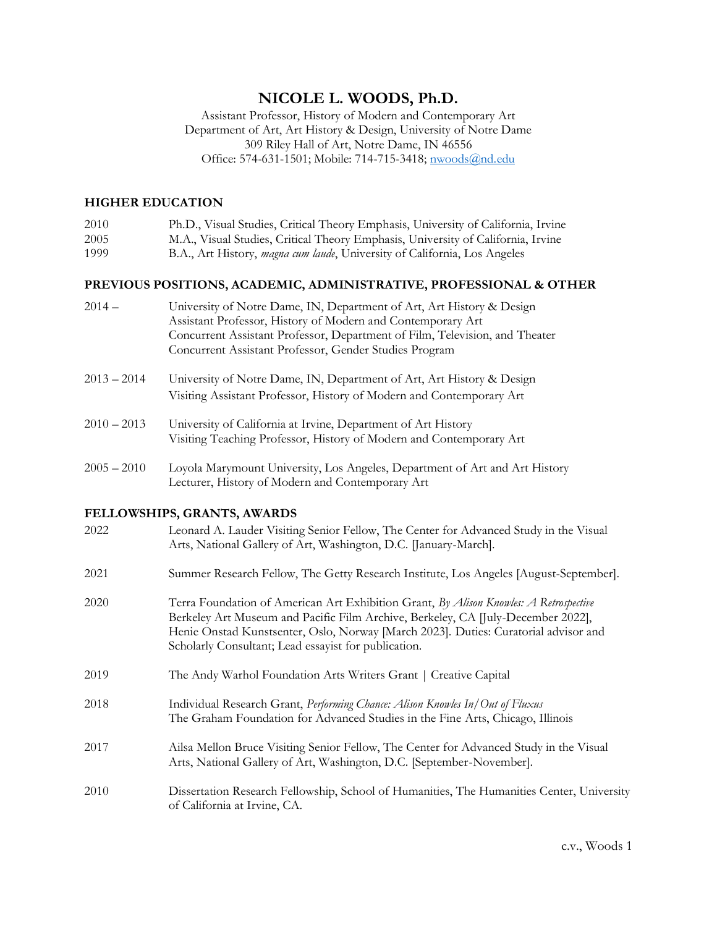# **NICOLE L. WOODS, Ph.D.**

Assistant Professor, History of Modern and Contemporary Art Department of Art, Art History & Design, University of Notre Dame 309 Riley Hall of Art, Notre Dame, IN 46556 Office: 574-631-1501; Mobile: 714-715-3418; [nwoods@nd.edu](mailto:nwoods@nd.edu)

# **HIGHER EDUCATION**

| 2010 | Ph.D., Visual Studies, Critical Theory Emphasis, University of California, Irvine |
|------|-----------------------------------------------------------------------------------|
| 2005 | M.A., Visual Studies, Critical Theory Emphasis, University of California, Irvine  |
| 1999 | B.A., Art History, <i>magna cum laude</i> , University of California, Los Angeles |

## **PREVIOUS POSITIONS, ACADEMIC, ADMINISTRATIVE, PROFESSIONAL & OTHER**

| $2014 -$ | University of Notre Dame, IN, Department of Art, Art History & Design       |
|----------|-----------------------------------------------------------------------------|
|          | Assistant Professor, History of Modern and Contemporary Art                 |
|          | Concurrent Assistant Professor, Department of Film, Television, and Theater |
|          | Concurrent Assistant Professor, Gender Studies Program                      |

- 2013 2014 University of Notre Dame, IN, Department of Art, Art History & Design Visiting Assistant Professor, History of Modern and Contemporary Art
- 2010 2013 University of California at Irvine, Department of Art History Visiting Teaching Professor, History of Modern and Contemporary Art
- 2005 2010 Loyola Marymount University, Los Angeles, Department of Art and Art History Lecturer, History of Modern and Contemporary Art

# **FELLOWSHIPS, GRANTS, AWARDS**

| 2022 | Leonard A. Lauder Visiting Senior Fellow, The Center for Advanced Study in the Visual<br>Arts, National Gallery of Art, Washington, D.C. [January-March].                                                                                                                                                                |
|------|--------------------------------------------------------------------------------------------------------------------------------------------------------------------------------------------------------------------------------------------------------------------------------------------------------------------------|
| 2021 | Summer Research Fellow, The Getty Research Institute, Los Angeles [August-September].                                                                                                                                                                                                                                    |
| 2020 | Terra Foundation of American Art Exhibition Grant, By Alison Knowles: A Retrospective<br>Berkeley Art Museum and Pacific Film Archive, Berkeley, CA [July-December 2022],<br>Henie Onstad Kunstsenter, Oslo, Norway [March 2023]. Duties: Curatorial advisor and<br>Scholarly Consultant; Lead essayist for publication. |
| 2019 | The Andy Warhol Foundation Arts Writers Grant   Creative Capital                                                                                                                                                                                                                                                         |
| 2018 | Individual Research Grant, Performing Chance: Alison Knowles In/Out of Fluxus<br>The Graham Foundation for Advanced Studies in the Fine Arts, Chicago, Illinois                                                                                                                                                          |
| 2017 | Ailsa Mellon Bruce Visiting Senior Fellow, The Center for Advanced Study in the Visual<br>Arts, National Gallery of Art, Washington, D.C. [September-November].                                                                                                                                                          |
| 2010 | Dissertation Research Fellowship, School of Humanities, The Humanities Center, University<br>of California at Irvine, CA.                                                                                                                                                                                                |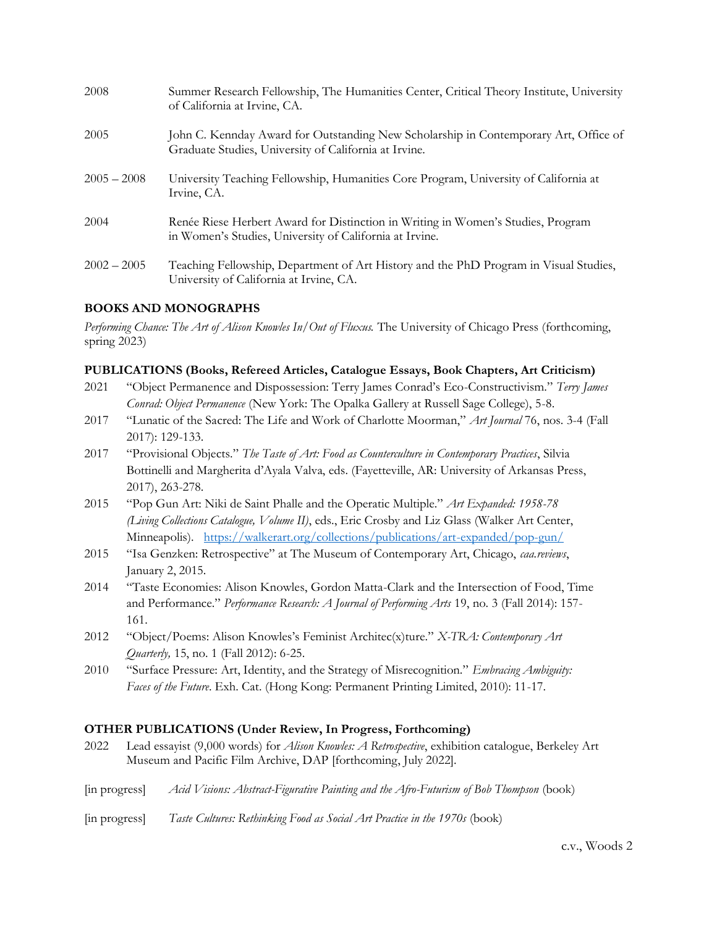| 2008          | Summer Research Fellowship, The Humanities Center, Critical Theory Institute, University<br>of California at Irvine, CA.                      |
|---------------|-----------------------------------------------------------------------------------------------------------------------------------------------|
| 2005          | John C. Kennday Award for Outstanding New Scholarship in Contemporary Art, Office of<br>Graduate Studies, University of California at Irvine. |
| $2005 - 2008$ | University Teaching Fellowship, Humanities Core Program, University of California at<br>Irvine, CA.                                           |
| 2004          | Renée Riese Herbert Award for Distinction in Writing in Women's Studies, Program<br>in Women's Studies, University of California at Irvine.   |
| $2002 - 2005$ | Teaching Fellowship, Department of Art History and the PhD Program in Visual Studies,<br>University of California at Irvine, CA.              |

# **BOOKS AND MONOGRAPHS**

*Performing Chance: The Art of Alison Knowles In/Out of Fluxus.* The University of Chicago Press (forthcoming, spring 2023)

## **PUBLICATIONS (Books, Refereed Articles, Catalogue Essays, Book Chapters, Art Criticism)**

- 2021 "Object Permanence and Dispossession: Terry James Conrad's Eco-Constructivism." *Terry James Conrad: Object Permanence* (New York: The Opalka Gallery at Russell Sage College), 5-8.
- 2017 "Lunatic of the Sacred: The Life and Work of Charlotte Moorman," *Art Journal* 76, nos. 3-4 (Fall 2017): 129-133.
- 2017 "Provisional Objects." *The Taste of Art: Food as Counterculture in Contemporary Practices*, Silvia Bottinelli and Margherita d'Ayala Valva, eds. (Fayetteville, AR: University of Arkansas Press, 2017), 263-278.
- 2015 "Pop Gun Art: Niki de Saint Phalle and the Operatic Multiple." *Art Expanded: 1958-78 (Living Collections Catalogue, Volume II)*, eds., Eric Crosby and Liz Glass (Walker Art Center, Minneapolis). <https://walkerart.org/collections/publications/art-expanded/pop-gun/>
- 2015 "Isa Genzken: Retrospective" at The Museum of Contemporary Art, Chicago, *caa.reviews*, January 2, 2015.
- 2014 "Taste Economies: Alison Knowles, Gordon Matta-Clark and the Intersection of Food, Time and Performance." *Performance Research: A Journal of Performing Arts* 19, no. 3 (Fall 2014): 157- 161.
- 2012 "Object/Poems: Alison Knowles's Feminist Architec(x)ture." *X-TRA: Contemporary Art Quarterly,* 15, no. 1 (Fall 2012): 6-25.
- 2010 "Surface Pressure: Art, Identity, and the Strategy of Misrecognition." *Embracing Ambiguity: Faces of the Future*. Exh. Cat. (Hong Kong: Permanent Printing Limited, 2010): 11-17.

## **OTHER PUBLICATIONS (Under Review, In Progress, Forthcoming)**

- 2022 Lead essayist (9,000 words) for *Alison Knowles: A Retrospective*, exhibition catalogue, Berkeley Art Museum and Pacific Film Archive, DAP [forthcoming, July 2022].
- [in progress] *Acid Visions: Abstract-Figurative Painting and the Afro-Futurism of Bob Thompson* (book)
- [in progress] *Taste Cultures: Rethinking Food as Social Art Practice in the 1970s* (book)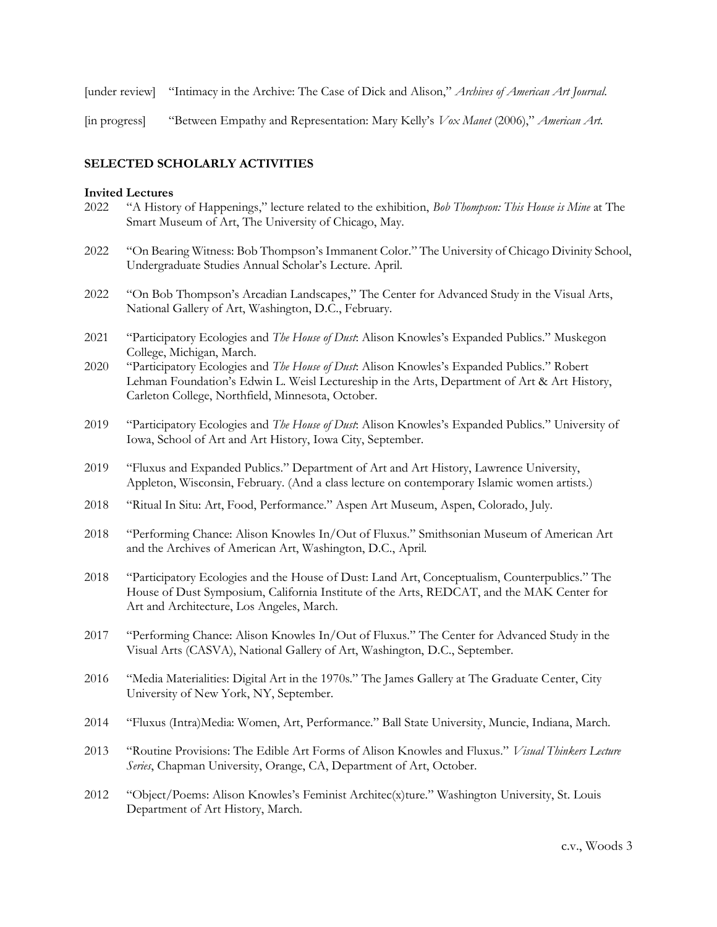[under review] "Intimacy in the Archive: The Case of Dick and Alison," *Archives of American Art Journal.* 

[in progress] "Between Empathy and Representation: Mary Kelly's *Vox Manet* (2006)," *American Art.*

## **SELECTED SCHOLARLY ACTIVITIES**

#### **Invited Lectures**

- 2022 "A History of Happenings," lecture related to the exhibition, *Bob Thompson: This House is Mine* at The Smart Museum of Art, The University of Chicago, May.
- 2022 "On Bearing Witness: Bob Thompson's Immanent Color." The University of Chicago Divinity School, Undergraduate Studies Annual Scholar's Lecture. April.
- 2022 "On Bob Thompson's Arcadian Landscapes," The Center for Advanced Study in the Visual Arts, National Gallery of Art, Washington, D.C., February.
- 2021 "Participatory Ecologies and *The House of Dust*: Alison Knowles's Expanded Publics." Muskegon College, Michigan, March.
- 2020 "Participatory Ecologies and *The House of Dust*: Alison Knowles's Expanded Publics." Robert Lehman Foundation's Edwin L. Weisl Lectureship in the Arts, Department of Art & Art History, Carleton College, Northfield, Minnesota, October.
- 2019 "Participatory Ecologies and *The House of Dust*: Alison Knowles's Expanded Publics." University of Iowa, School of Art and Art History, Iowa City, September.
- 2019 "Fluxus and Expanded Publics." Department of Art and Art History, Lawrence University, Appleton, Wisconsin, February. (And a class lecture on contemporary Islamic women artists.)
- 2018 "Ritual In Situ: Art, Food, Performance." Aspen Art Museum, Aspen, Colorado, July.
- 2018 "Performing Chance: Alison Knowles In/Out of Fluxus." Smithsonian Museum of American Art and the Archives of American Art, Washington, D.C., April.
- 2018 "Participatory Ecologies and the House of Dust: Land Art, Conceptualism, Counterpublics." The House of Dust Symposium, California Institute of the Arts, REDCAT, and the MAK Center for Art and Architecture, Los Angeles, March.
- 2017 "Performing Chance: Alison Knowles In/Out of Fluxus." The Center for Advanced Study in the Visual Arts (CASVA), National Gallery of Art, Washington, D.C., September.
- 2016 "Media Materialities: Digital Art in the 1970s." The James Gallery at The Graduate Center, City University of New York, NY, September.
- 2014 "Fluxus (Intra)Media: Women, Art, Performance." Ball State University, Muncie, Indiana, March.
- 2013 "Routine Provisions: The Edible Art Forms of Alison Knowles and Fluxus." *Visual Thinkers Lecture Series*, Chapman University, Orange, CA, Department of Art, October.
- 2012 "Object/Poems: Alison Knowles's Feminist Architec(x)ture." Washington University, St. Louis Department of Art History, March.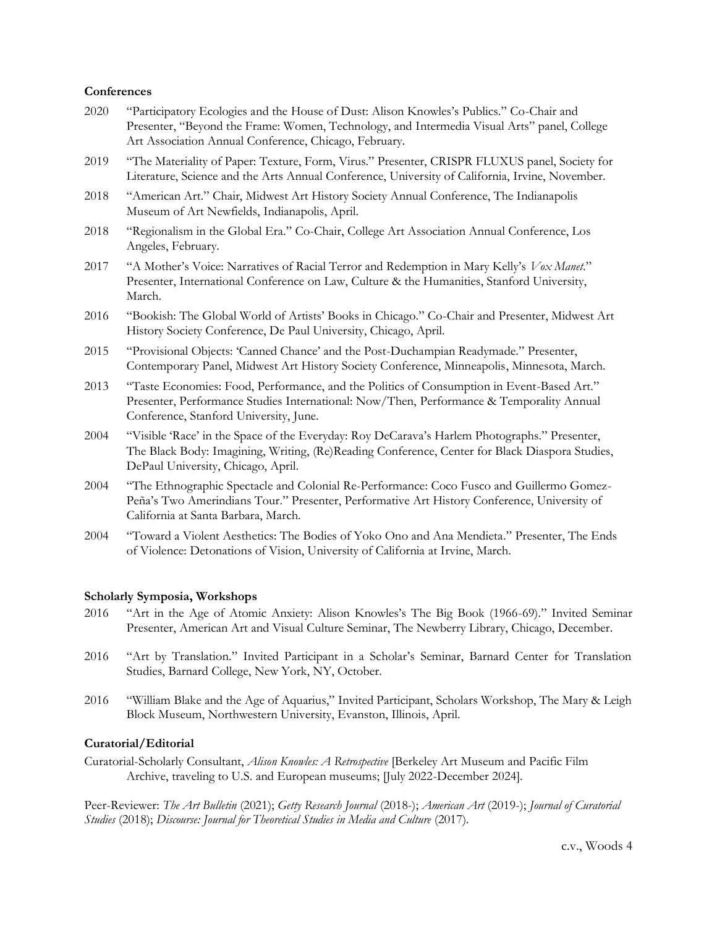#### **Conferences**

- 2020 "Participatory Ecologies and the House of Dust: Alison Knowles's Publics." Co-Chair and Presenter, "Beyond the Frame: Women, Technology, and Intermedia Visual Arts" panel, College Art Association Annual Conference, Chicago, February.
- 2019 "The Materiality of Paper: Texture, Form, Virus." Presenter, CRISPR FLUXUS panel, Society for Literature, Science and the Arts Annual Conference, University of California, Irvine, November.
- 2018 "American Art." Chair, Midwest Art History Society Annual Conference, The Indianapolis Museum of Art Newfields, Indianapolis, April.
- 2018 "Regionalism in the Global Era." Co-Chair, College Art Association Annual Conference, Los Angeles, February.
- 2017 "A Mother's Voice: Narratives of Racial Terror and Redemption in Mary Kelly's *Vox Manet*." Presenter, International Conference on Law, Culture & the Humanities, Stanford University, March.
- 2016 "Bookish: The Global World of Artists' Books in Chicago." Co-Chair and Presenter, Midwest Art History Society Conference, De Paul University, Chicago, April.
- 2015 "Provisional Objects: 'Canned Chance' and the Post-Duchampian Readymade." Presenter, Contemporary Panel, Midwest Art History Society Conference, Minneapolis, Minnesota, March.
- 2013 "Taste Economies: Food, Performance, and the Politics of Consumption in Event-Based Art." Presenter, Performance Studies International: Now/Then, Performance & Temporality Annual Conference, Stanford University, June.
- 2004 "Visible 'Race' in the Space of the Everyday: Roy DeCarava's Harlem Photographs." Presenter, The Black Body: Imagining, Writing, (Re)Reading Conference, Center for Black Diaspora Studies, DePaul University, Chicago, April.
- 2004 "The Ethnographic Spectacle and Colonial Re-Performance: Coco Fusco and Guillermo Gomez-Peña's Two Amerindians Tour." Presenter, Performative Art History Conference, University of California at Santa Barbara, March.
- 2004 "Toward a Violent Aesthetics: The Bodies of Yoko Ono and Ana Mendieta." Presenter, The Ends of Violence: Detonations of Vision, University of California at Irvine, March.

## **Scholarly Symposia, Workshops**

- 2016 "Art in the Age of Atomic Anxiety: Alison Knowles's The Big Book (1966-69)." Invited Seminar Presenter, American Art and Visual Culture Seminar, The Newberry Library, Chicago, December.
- 2016 "Art by Translation." Invited Participant in a Scholar's Seminar, Barnard Center for Translation Studies, Barnard College, New York, NY, October.
- 2016 "William Blake and the Age of Aquarius," Invited Participant, Scholars Workshop, The Mary & Leigh Block Museum, Northwestern University, Evanston, Illinois, April.

#### **Curatorial/Editorial**

Curatorial-Scholarly Consultant, *Alison Knowles: A Retrospective* [Berkeley Art Museum and Pacific Film Archive, traveling to U.S. and European museums; [July 2022-December 2024].

Peer-Reviewer: *The Art Bulletin* (2021); *Getty Research Journal* (2018-); *American Art* (2019-); *Journal of Curatorial Studies* (2018); *Discourse: Journal for Theoretical Studies in Media and Culture* (2017).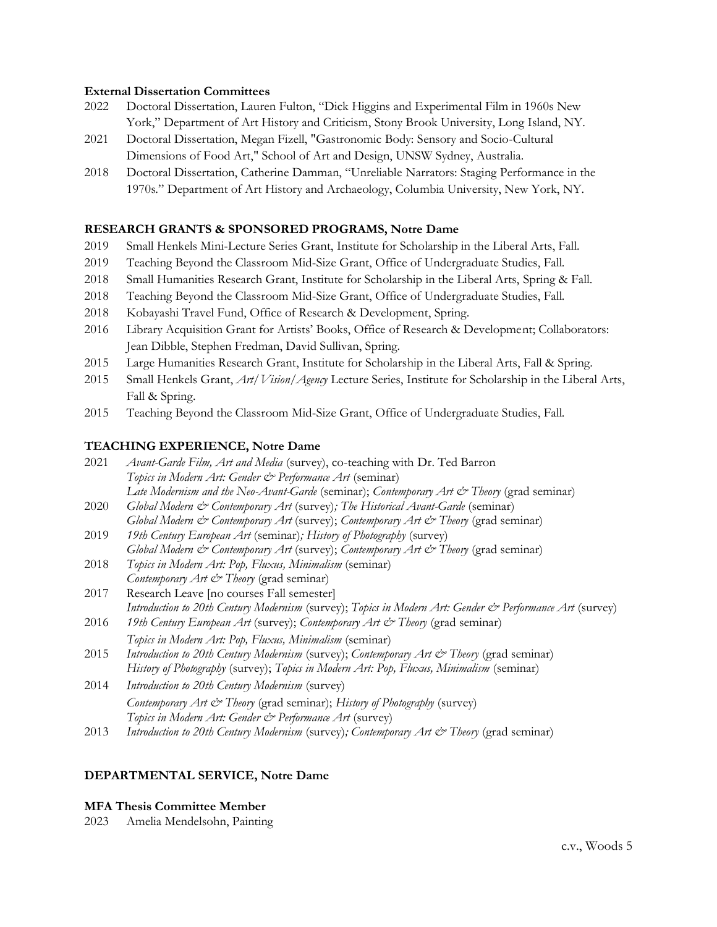#### **External Dissertation Committees**

- 2022 Doctoral Dissertation, Lauren Fulton, "Dick Higgins and Experimental Film in 1960s New York," Department of Art History and Criticism, Stony Brook University, Long Island, NY.
- 2021 Doctoral Dissertation, Megan Fizell, "Gastronomic Body: Sensory and Socio-Cultural Dimensions of Food Art," School of Art and Design, UNSW Sydney, Australia.
- 2018 Doctoral Dissertation, Catherine Damman, "Unreliable Narrators: Staging Performance in the 1970s." Department of Art History and Archaeology, Columbia University, New York, NY.

### **RESEARCH GRANTS & SPONSORED PROGRAMS, Notre Dame**

- 2019 Small Henkels Mini-Lecture Series Grant, Institute for Scholarship in the Liberal Arts, Fall.
- 2019 Teaching Beyond the Classroom Mid-Size Grant, Office of Undergraduate Studies, Fall.
- 2018 Small Humanities Research Grant, Institute for Scholarship in the Liberal Arts, Spring & Fall.
- 2018 Teaching Beyond the Classroom Mid-Size Grant, Office of Undergraduate Studies, Fall.
- 2018 Kobayashi Travel Fund, Office of Research & Development, Spring.
- 2016 Library Acquisition Grant for Artists' Books, Office of Research & Development; Collaborators: Jean Dibble, Stephen Fredman, David Sullivan, Spring.
- 2015 Large Humanities Research Grant, Institute for Scholarship in the Liberal Arts, Fall & Spring.
- 2015 Small Henkels Grant, *Art/Vision/Agency* Lecture Series, Institute for Scholarship in the Liberal Arts, Fall & Spring.
- 2015 Teaching Beyond the Classroom Mid-Size Grant, Office of Undergraduate Studies, Fall.

#### **TEACHING EXPERIENCE, Notre Dame**

- 2021 *Avant-Garde Film, Art and Media* (survey), co-teaching with Dr. Ted Barron *Topics in Modern Art: Gender & Performance Art* (seminar) Late Modernism and the Neo-Avant-Garde (seminar); *Contemporary Art & Theory* (grad seminar)
- 2020 *Global Modern & Contemporary Art* (survey)*; The Historical Avant-Garde* (seminar) *Global Modern & Contemporary Art* (survey); *Contemporary Art & Theory* (grad seminar)
- 2019 *19th Century European Art* (seminar)*; History of Photography* (survey) *Global Modern & Contemporary Art* (survey); *Contemporary Art & Theory* (grad seminar)
- 2018 *Topics in Modern Art: Pop, Fluxus, Minimalism* (seminar) *Contemporary Art & Theory* (grad seminar)
- 2017 Research Leave [no courses Fall semester] *Introduction to 20th Century Modernism* (survey); *Topics in Modern Art: Gender & Performance Art* (survey)
- 2016 *19th Century European Art* (survey); *Contemporary Art & Theory* (grad seminar) *Topics in Modern Art: Pop, Fluxus, Minimalism* (seminar)
- 2015 *Introduction to 20th Century Modernism* (survey); *Contemporary Art & Theory* (grad seminar) *History of Photography* (survey); *Topics in Modern Art: Pop, Fluxus, Minimalism* (seminar)
- 2014 *Introduction to 20th Century Modernism* (survey) *Contemporary Art & Theory* (grad seminar); *History of Photography* (survey) *Topics in Modern Art: Gender & Performance Art* (survey)
- 2013 *Introduction to 20th Century Modernism* (survey)*; Contemporary Art & Theory* (grad seminar)

## **DEPARTMENTAL SERVICE, Notre Dame**

## **MFA Thesis Committee Member**

2023 Amelia Mendelsohn, Painting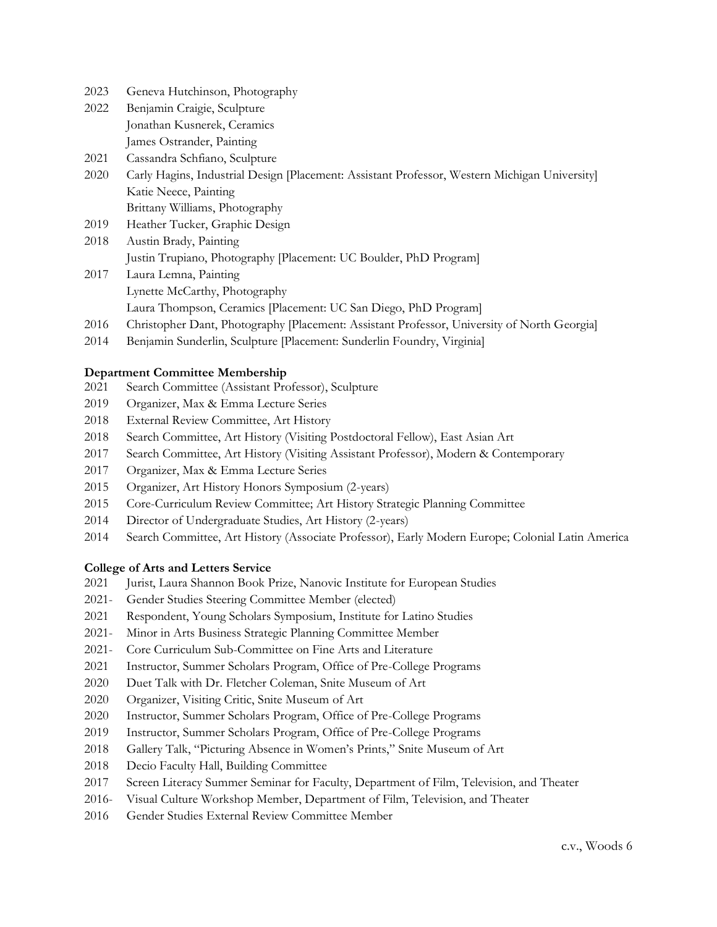- Geneva Hutchinson, Photography
- Benjamin Craigie, Sculpture Jonathan Kusnerek, Ceramics James Ostrander, Painting
- Cassandra Schfiano, Sculpture
- Carly Hagins, Industrial Design [Placement: Assistant Professor, Western Michigan University] Katie Neece, Painting Brittany Williams, Photography
- Heather Tucker, Graphic Design
- Austin Brady, Painting Justin Trupiano, Photography [Placement: UC Boulder, PhD Program]
- Laura Lemna, Painting Lynette McCarthy, Photography Laura Thompson, Ceramics [Placement: UC San Diego, PhD Program]
- Christopher Dant, Photography [Placement: Assistant Professor, University of North Georgia]
- Benjamin Sunderlin, Sculpture [Placement: Sunderlin Foundry, Virginia]

## **Department Committee Membership**

- Search Committee (Assistant Professor), Sculpture
- Organizer, Max & Emma Lecture Series
- External Review Committee, Art History
- Search Committee, Art History (Visiting Postdoctoral Fellow), East Asian Art
- Search Committee, Art History (Visiting Assistant Professor), Modern & Contemporary
- Organizer, Max & Emma Lecture Series
- Organizer, Art History Honors Symposium (2-years)
- Core-Curriculum Review Committee; Art History Strategic Planning Committee
- Director of Undergraduate Studies, Art History (2-years)
- Search Committee, Art History (Associate Professor), Early Modern Europe; Colonial Latin America

## **College of Arts and Letters Service**

- Jurist, Laura Shannon Book Prize, Nanovic Institute for European Studies
- 2021- Gender Studies Steering Committee Member (elected)
- Respondent, Young Scholars Symposium, Institute for Latino Studies
- 2021- Minor in Arts Business Strategic Planning Committee Member
- 2021- Core Curriculum Sub-Committee on Fine Arts and Literature
- Instructor, Summer Scholars Program, Office of Pre-College Programs
- Duet Talk with Dr. Fletcher Coleman, Snite Museum of Art
- Organizer, Visiting Critic, Snite Museum of Art
- Instructor, Summer Scholars Program, Office of Pre-College Programs
- Instructor, Summer Scholars Program, Office of Pre-College Programs
- Gallery Talk, "Picturing Absence in Women's Prints," Snite Museum of Art
- Decio Faculty Hall, Building Committee
- Screen Literacy Summer Seminar for Faculty, Department of Film, Television, and Theater
- 2016- Visual Culture Workshop Member, Department of Film, Television, and Theater
- Gender Studies External Review Committee Member